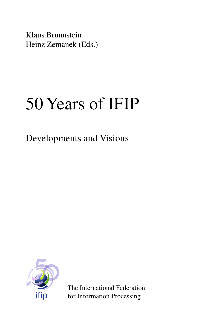Klaus Brunnstein Heinz Zemanek (Eds.)

# 50 Years of IFIP

# Developments and Visions



The International Federation for Information Processing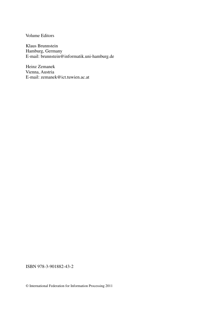Volume Editors

Klaus Brunnstein Hamburg, Germany E-mail: brunnstein@informatik.uni-hamburg.de

Heinz Zemanek Vienna, Austria E-mail: zemanek@ict.tuwien.ac.at

ISBN 978-3-901882-43-2

© International Federation for Information Processing 2011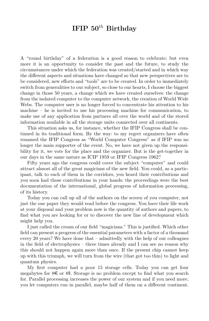# **IFIP 50**th **Birthday**

A "round birthday" of a federation is a good reason to celebrate; but even more it is an opportunity to consider the past and the future, to study the circumstances under which the federation was created/started and in which way the different aspects and situations have changed so that new perspectives are to be considered, new efforts and "tools" are to be created. In order to immediately switch from generalities to our subject, so close to our hearts, I choose the biggest change in those 50 years, a change which we have created ourselves: the change from the isolated computer to the computer network, the creation of World Wide Webs. The computer user is no longer forced to concentrate his attention to his machine – he is invited to use his processing machine for communication, to make use of any application from partners all over the world and of the stored information available in all the storage units connected over all continents.

This situation asks us, for instance, whether the IFIP Congress shall be continued in its traditional form. By the way: to my regret organizers have often renamed the IFIP Congress as "World Computer Congress" as if IFIP was no longer the main supporter of the event. No, we have not given up the responsibility for it, we vote for the place and the organizer. But is the get-together in our days in the same nature as ICIP 1959 or IFIP Congress 1962?

Fifty years ago the congress could cover the subject "computer" and could attract almost all of the great magicians of the new field. You could, as a participant, talk to each of them in the corridors, you heard their contributions and you soon had those contributions in your hands: the proceedings were the best documentation of the international, global progress of information processing, of its history.

Today you can call up all of the authors on the screen of you computer, not just the one paper they would read before the congress. You have their life work at your disposal and your problem now is the quantity of authors and papers, to find what you are looking for or to discover the new line of development which might help you.

I just called the cream of our field "magicians." This is justified. Which other field can present a progress of the essential parameters with a factor of a thousand every 20 years? We have done that – admittedly with the help of our colleagues in the field of electrophysics – three times already and I can see no reason why this should not happen again more than once. If the present chip cannot keep up with this triumph, we will turn from the wire (that got too thin) to light and quantum physics.

My first computer had a poor 15 storage cells. Today you can get four megabytes for  $8 \infty$  or  $8$ . Storage is no problem except to find what you search for. Parallel processing increases the power of our system and if you need more, you let computers run in parallel, maybe half of them on a different continent.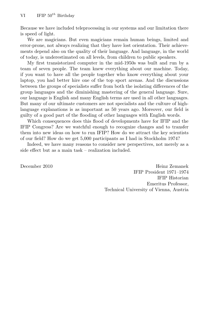Because we have included teleprocessing in our systems and our limitation there is speed of light.

We are magicians. But even magicians remain human beings, limited and error-prone, not always realizing that they have lost orientation. Their achievements depend also on the quality of their language. And language, in the world of today, is underestimated on all levels, from children to public speakers.

My first transistorized computer in the mid-1950s was built and run by a team of seven people. The team knew everything about our machine. Today, if you want to have all the people together who know everything about your laptop, you had better hire one of the top sport arenas. And the discussions between the groups of specialists suffer from both the isolating differences of the group languages and the diminishing mastering of the general language. Sure, our language is English and many English terms are used in all other languages. But many of our ultimate customers are not specialists and the culture of highlanguage explanations is as important as 50 years ago. Moreover, our field is guilty of a good part of the flooding of other languages with English words.

Which consequences does this flood of developments have for IFIP and the IFIP Congress? Are we watchful enough to recognize changes and to transfer them into new ideas on how to run IFIP? How do we attract the key scientists of our field? How do we get 5,000 participants as I had in Stockholm 1974?

Indeed, we have many reasons to consider new perspectives, not merely as a side effect but as a main task – realization included.

December 2010 Heinz Zemanek IFIP President 1971–1974 IFIP Historian Emeritus Professor, Technical University of Vienna, Austria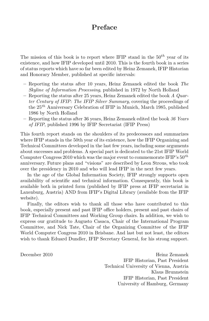## **Preface**

The mission of this book is to report where IFIP stand in the  $50<sup>th</sup>$  year of its existence, and how IFIP developed until 2010. This is the fourth book in a series of status reports which have so far been edited by Heinz Zemanek, IFIP Historian and Honorary Member, published at specific intervals:

- **–** Reporting the status after 10 years, Heinz Zemanek edited the book The Skyline of Information Processing, published in 1972 by North Holland
- **–** Reporting the status after 25 years, Heinz Zemanek edited the book A Quarter Century of IFIP: The IFIP Silver Summary, covering the proceedings of the 25th Anniversary Celebration of IFIP in Munich, March 1985, published 1986 by North Holland
- **–** Reporting the status after 36 years, Heinz Zemanek edited the book 36 Years of IFIP, published 1996 by IFIP Secretariat (IFIP Press)

This fourth report stands on the shoulders of its predecessors and summarizes where IFIP stands in the 50th year of its existence, how the IFIP Organizing and Technical Committees developed in the last few years, including some arguments about successes and problems. A special part is dedicated to the 21st IFIP World Computer Congress 2010 which was the major event to commemorate IFIP's  $50^{th}$ anniversary. Future plans and "visions" are described by Leon Strous, who took over the presidency in 2010 and who will lead IFIP in the next few years.

In the age of the Global Information Society, IFIP strongly supports open availability of scientific and technical information. Consequently, this book is available both in printed form (published by IFIP press at IFIP secretariat in Laxenburg, Austria) AND from IFIP's Digital Library (available from the IFIP website).

Finally, the editors wish to thank all those who have contributed to this book, especially present and past IFIP office holders, present and past chairs of IFIP Technical Committees and Working Group chairs. In addition, we wish to express our gratitude to Augusto Casaca, Chair of the International Program Committee, and Nick Tate, Chair of the Organizing Committee of the IFIP World Computer Congress 2010 in Brisbane. And last but not least, the editors wish to thank Eduard Dundler, IFIP Secretary General, for his strong support.

December 2010 Heinz Zemanek IFIP Historian, Past President Technical University of Vienna, Austria Klaus Brunnstein IFIP Historian, Past President University of Hamburg, Germany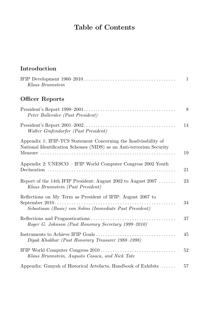# **Table of Contents**

# **Introduction**

| Klaus Brunnstein                                                                                                                        | $\mathbf{1}$ |
|-----------------------------------------------------------------------------------------------------------------------------------------|--------------|
| <b>Officer Reports</b>                                                                                                                  |              |
| Peter Bollerslev (Past President)                                                                                                       | 8            |
| Walter Grafendorfer (Past President)                                                                                                    | 14           |
| Appendix 1: IFIP-TC9 Statement Concerning the Inadvisability of<br>National Identification Schemes (NIDS) as an Anti-terrorism Security | 19           |
| Appendix 2: UNESCO - IFIP World Computer Congress 2002 Youth                                                                            | 21           |
| Report of the 14th IFIP President: August 2002 to August 2007<br>Klaus Brunnstein (Past President)                                      | 23           |
| Reflections on My Term as President of IFIP: August 2007 to<br>Sebastiaan (Basie) von Solms (Immediate Past President)                  | 34           |
| Roger G. Johnson (Past Honorary Secretary 1999–2010)                                                                                    | 37           |
| Dipak Khakhar (Past Honorary Treasurer 1988-1998)                                                                                       | 45           |
| Klaus Brunnstein, Augusto Casaca, and Nick Tate                                                                                         | 52           |
| Appendix: Gunyah of Historical Artefacts, Handbook of Exhibits                                                                          | 57           |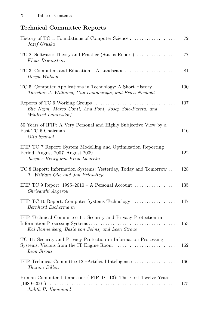# **Technical Committee Reports**

| History of TC 1: Foundations of Computer Science<br>Jozef Gruska                                                            | 72  |
|-----------------------------------------------------------------------------------------------------------------------------|-----|
| TC 2: Software: Theory and Practice (Status Report)<br>Klaus Brunnstein                                                     | 77  |
| Deryn Watson                                                                                                                | 81  |
| TC 5: Computer Applications in Technology: A Short History<br>Theodore J. Williams, Guy Doumeingts, and Erich Neuhold       | 100 |
| Elie Najm, Marco Conti, Ana Pont, Josep Sole-Pareta, and<br>Winfried Lamersdorf                                             | 107 |
| 50 Years of IFIP: A Very Personal and Highly Subjective View by a<br>Otto Spaniol                                           | 116 |
| IFIP TC 7 Report: System Modelling and Optimization Reporting<br>Jacques Henry and Irena Laciecka                           | 122 |
| TC 8 Report: Information Systems: Yesterday, Today and Tomorrow<br>T. William Olle and Jan Pries-Heje                       | 128 |
| IFIP TC 9 Report: $1995-2010 - A$ Personal Account<br>Chrisanthi Avgerou                                                    | 135 |
| IFIP TC 10 Report: Computer Systems Technology<br>Bernhard Eschermann                                                       | 147 |
| IFIP Technical Committee 11: Security and Privacy Protection in<br>Kai Rannenberg, Basie von Solms, and Leon Strous         | 153 |
| TC 11: Security and Privacy Protection in Information Processing<br>Systems: Visions from the IT Engine Room<br>Leon Strous | 162 |
| IFIP Technical Committee 12 - Artificial Intelligence<br>Tharam Dillon                                                      | 166 |
| Human-Computer Interactions (IFIP TC 13): The First Twelve Years<br>Judith H. Hammond                                       | 175 |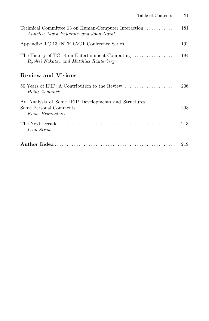| Technical Committee 13 on Human-Computer Interaction<br>Annelise Mark Pejtersen and John Karat | 181 |
|------------------------------------------------------------------------------------------------|-----|
|                                                                                                | 192 |
| The History of TC 14 on Entertainment Computing<br>Ryohei Nakatsu and Matthias Rauterberg      | 194 |
| Review and Visions                                                                             |     |
| 50 Years of IFIP: A Contribution to the Review<br>Heinz Zemanek                                | 206 |
| An Analysis of Some IFIP Developments and Structures:<br>Klaus Brunnstein                      | 208 |
| Leon Strous                                                                                    | 213 |
|                                                                                                | 219 |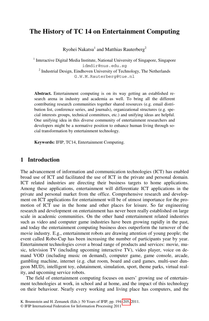### **The History of TC 14 on Entertainment Computing**

Ryohei Nakatsu<sup>1</sup> and Matthias Rauterberg<sup>2</sup>

<sup>1</sup> Interactive Digital Media Institute, National University of Singapore, Singapore idmdir@nus.edu.sg <sup>2</sup> Industrial Design, Eindhoven University of Technology, The Netherlands G.W.M.Rauterberg@tue.nl

**Abstract.** Entertainment computing is on its way getting an established research arena in industry and academia as well. To bring all the different contributing research communities together shared resources (e.g. email distribution list, conference series, and journals), organizational structures (e.g. special interests groups, technical committees, etc.) and unifying ideas are helpful. One unifying idea in this diverse community of entertainment researchers and developers might be a normative position to enhance human living through social transformation by entertainment technology.

**Keywords:** IFIP, TC14, Entertainment Computing.

#### **1 Introduction**

The advancement of information and communication technologies (ICT) has enabled broad use of ICT and facilitated the use of ICT in the private and personal domain. ICT related industries are directing their business targets to home applications. Among these applications, entertainment will differentiate ICT applications in the private and personal market from the office. Comprehensive research and development on ICT applications for entertainment will be of utmost importance for the promotion of ICT use in the home and other places for leisure. So far engineering research and development on entertainment has never been really established on large scale in academic communities. On the other hand entertainment related industries such as video and computer game industries have been growing rapidly in the past, and today the entertainment computing business does outperform the turnover of the movie industry. E.g., entertainment robots are drawing attention of young people; the event called Robo-Cup has been increasing the number of participants year by year. Entertainment technologies cover a broad range of products and services: movie, music, television TV (including upcoming interactive TV), video player, voice on demand VOD (including music on demand), computer game, game console, arcade, gambling machine, internet (e.g. chat room, board and card games, multi-user dungeon MUD), intelligent toy, edutainment, simulation, sport, theme parks, virtual reality, and upcoming service robots.

The field of entertainment computing focuses on users' growing use of entertainment technologies at work, in school and at home, and the impact of this technology on their behaviour. Nearly every working and living place has computers, and the

<sup>©</sup> IFIP International Federation for Information Processing 2011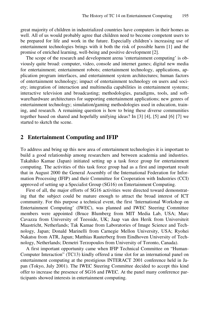great majority of children in industrialized countries have computers in their homes as well. All of us would probably agree that children need to become competent users to be prepared for life and work in the future. Especially children's increasing use of entertainment technologies brings with it both the risk of possible harm [1] and the promise of enriched learning, well-being and positive development [2].

The scope of the research and development arena 'entertainment computing' is obviously quite broad: computer, video, console and internet games; digital new media for entertainment; entertainment robots; entertainment technology, applications, application program interfaces, and entertainment system architectures; human factors of entertainment technology; impact of entertainment technology on users and society; integration of interaction and multimedia capabilities in entertainment systems; interactive television and broadcasting; methodologies, paradigms, tools, and software/hardware architectures for supporting entertainment applications; new genres of entertainment technology; simulation/gaming methodologies used in education, training, and research. A remaining question is how to bring these diverse communities together based on shared and hopefully unifying ideas? In [3] [4], [5] and [6] [7] we started to sketch the scene.

#### **2 Entertainment Computing and IFIP**

To address and bring up this new area of entertainment technologies it is important to build a good relationship among researchers and between academia and industries. Takahiko Kamae (Japan) initiated setting up a task force group for entertainment computing. The activities of this task force group had as a first and important result that in August 2000 the General Assembly of the International Federation for Information Processing (IFIP) and their Committee for Cooperation with Industries (CCI) approved of setting up a Specialist Group (SG16) on Entertainment Computing.

First of all, the major efforts of SG16 activities were directed toward demonstrating that the subject could be mature enough to attract the broad interest of ICT community. For this purpose a technical event, the first 'International Workshop on Entertainment Computing' (IWEC), was planned and IWEC Steering Committee members were appointed (Bruce Blumberg from MIT Media Lab, USA; Marc Cavazza from University of Teesside, UK; Jaap van den Herik from Universiteit Maastricht, Netherlands; Tak Kamae from Laboratories of Image Science and Technology, Japan; Donald Marinelli from Carnegie Mellon University, USA; Ryohei Nakatsu from ATR, Japan; Matthias Rauterberg from Eindhoven University of Technology, Netherlands; Demetri Terzopoulos from University of Toronto, Canada).

A first important opportunity came when IFIP Technical Committee on "Human-Computer Interaction" (TC13) kindly offered a time slot for an international panel on entertainment computing at the prestigious INTERACT 2001 conference held in Japan (Tokyo, July 2001). The IWEC Steering Committee decided to accept this kind offer to increase the presence of SG16 and IWEC. At the panel many conference participants showed interests in entertainment computing.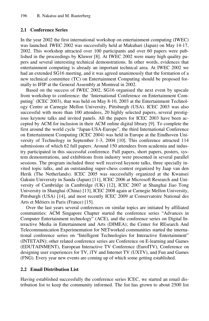#### **2.1 Conference Series**

In the year 2002 the first international workshop on entertainment computing (IWEC) was launched. IWEC 2002 was successfully held at Makuhari (Japan) on May 14-17, 2002. This workshop attracted over 100 participants and over 60 papers were published in the proceedings by Kluwer [8]. At IWEC 2002 were many high quality papers and several interesting technical demonstrations. In other words, evidences that entertainment computing is already an important technical area. At IWEC 2002 we had an extended SG16 meeting, and it was agreed unanimously that the formation of a new technical committee (TC) on Entertainment Computing should be proposed formally to IFIP at the General Assembly at Montreal in 2002.

Based on the success of IWEC 2002, SG16 organised the next event by upscale from workshop to conference: the 'International Conference on Entertainment Computing' (ICEC 2003), that was held on May 8-10, 2003 at the Entertainment Technology Centre at Carnegie Mellon University, Pittsburgh (USA). ICEC 2003 was also successful with more than 100 attendees, 20 highly selected papers, several prestigious keynote talks and invited panels. All the papers for ICEC 2003 have been accepted by ACM for inclusion in their ACM online digital library [9]. To complete the first around the world cycle "Japan-USA-Europe", the third International Conference on Entertainment Computing (ICEC 2004) was held in Europe at the Eindhoven University of Technology in September 1-3, 2004 [10]. This conference attracted 114 submissions of which 62 full papers. Around 150 attendees from academia and industry participated in this successful conference. Full papers, short papers, posters, system demonstrations, and exhibitions from industry were presented in several parallel sessions. The program included three well received keynote talks, three specially invited topic talks, and an outstanding super-chess contest organized by Jaap van den Herik (The Netherlands). ICEC 2005 was successfully organized at the Kwansei Gakuin University in Sanda (Japan) [11], ICEC 2006 at Microsoft Research and University of Cambridge in Cambridge (UK) [12], ICEC 2007 at Shanghai Jiao Tong University in Shanghai (China) [13], ICEC 2008 again at Carnegie Mellon University, Pittsburgh (USA) [14], and most recently ICEC 2009 at Conservatoire National des Arts et Métiers in Paris (France) [15].

Over the last years several conferences on similar topics are initiated by affiliated communities: ACM Singapore Chapter started the conference series "Advances in Computer Entertainment technology" (ACE), and the conference series on Digital Interactive Media in Entertainment and Arts (DIMEA); the Center for REsearch And Telecommunication Experimentation for NETworked communities started the international conference series on "Intelligent Technologies for Interactive Entertainment" (INTETAIN); other related conference series are Conference on E-learning and Games (EDUTAINMENT), European Interactive TV Conference (EuroITV), Conference on designing user experiences for TV, iTV and Internet TV (UXTV), and Fun and Games (FNG). Every year new events are coming up of which some getting established.

#### **2.2 Email Distribution List**

Having established successfully the conference series ICEC, we started an email distribution list to keep the community informed. The list has grown to about 2500 list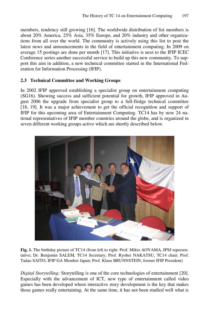members, tendency still growing [16]. The worldwide distribution of list members is about 20% America, 25% Asia, 35% Europe, and 20% industry and other organizations from all over the world. The community is actively using this list to post the latest news and announcements in the field of entertainment computing. In 2009 on average 15 postings are done per month [17]. This initiative is next to the IFIP ICEC Conference series another successful service to build up this new community. To support this aim in addition, a new technical committee started in the International Federation for Information Processing (IFIP).

#### **2.3 Technical Committee and Working Groups**

In 2002 IFIP approved establishing a specialist group on entertainment computing (SG16). Showing success and sufficient potential for growth, IFIP approved in August 2006 the upgrade from specialist group to a full-fledge technical committee [18, 19]. It was a major achievement to get the official recognition and support of IFIP for this upcoming area of Entertainment Computing. TC14 has by now 24 national representatives of IFIP member countries around the globe, and is organized in seven different working groups active which are shortly described below.



**Fig. 1.** The birthday picture of TC14 (from left to right: Prof. Mikio AOYAMA, IPSJ representative; Dr. Benjamin SALEM, TC14 Secretary; Prof. Ryohei NAKATSU, TC14 chair; Prof. Tadao SAITO, IFIP GA Member Japan; Prof. Klaus BRUNNSTEIN, former IFIP President)

*Digital Storytelling:* Storytelling is one of the core technologies of entertainment [20]. Especially with the advancement of ICT, new type of entertainment called video games has been developed where interactive story development is the key that makes those games really entertaining. At the same time, it has not been studied well what is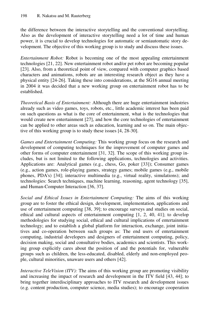the difference between the interactive storytelling and the conventional storytelling. Also as the development of interactive storytelling need a lot of time and human power, it is crucial to develop technologies for automatic or semiautomatic story development. The objective of this working group is to study and discuss these issues.

*Entertainment Robot:* Robot is becoming one of the most appealing entertainment technologies [21, 22]. New entertainment robot and/or pet robot are becoming popular [23]. Also, from a theoretical point of view, compared with computer graphics based characters and animations, robots are an interesting research object as they have a physical entity [24-26]. Taking these into considerations, at the SG16 annual meeting in 2004 it was decided that a new working group on entertainment robot has to be established.

*Theoretical Basis of Entertainment:* Although there are huge entertainment industries already such as video games, toys, robots, etc., little academic interest has been paid on such questions as what is the core of entertainment, what is the technologies that would create new entertainment [27], and how the core technologies of entertainment can be applied to other areas such as education, learning and so on. The main objective of this working group is to study these issues [4, 28-30].

*Games and Entertainment Computing:* This working group focus on the research and development of computing techniques for the improvement of computer games and other forms of computer entertainment [31, 32]. The scope of this working group includes, but is not limited to the following applications, technologies and activities. Applications are: Analytical games (e.g., chess, Go, poker [33]); Consumer games (e.g., action games, role-playing games, strategy games; mobile games (e.g., mobile phones, PDA's) [34]; interactive multimedia (e.g., virtual reality, simulations); and technologies: Search techniques, machine learning, reasoning, agent technology [35], and Human-Computer Interaction [36, 37].

*Social and Ethical Issues in Entertainment Computing:* The aims of this working group are to foster the ethical design, development, implementation, applications and use of entertainment computing [38, 39]; to encourage surveys and studies on social, ethical and cultural aspects of entertainment computing [1, 2, 40, 41]; to develop methodologies for studying social, ethical and cultural implications of entertainment technology; and to establish a global platform for interaction, exchange, joint initiatives and co-operation between such groups as: The end users of entertainment computing, industrial developers and designers of entertainment computing, policy, decision making, social and consultative bodies, academics and scientists. This working group explicitly cares about the position of and the potentials for, vulnerable groups such as children, the less-educated, disabled, elderly and non-employed people, cultural minorities, unaware users and others [42].

*Interactive TeleVision (ITV)*: The aims of this working group are promoting visibility and increasing the impact of research and development in the ITV field [43, 44]; to bring together interdisciplinary approaches to ITV research and development issues (e.g. content production, computer science, media studies); to encourage cooperation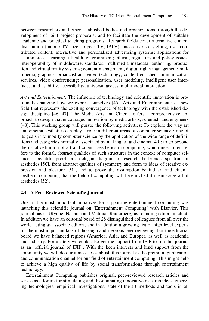between researchers and other established bodies and organizations, through the development of joint project proposals; and to facilitate the development of suitable academic and practical teaching programs. Research fields cover alternative content distribution (mobile TV, peer-to-peer TV, IPTV); interactive storytelling, user contributed content; interactive and personalized advertising systems; applications for t-commerce, t-learning, t-health, entertainment; ethical, regulatory and policy issues; interoperability of middleware, standards, multimedia metadata; authoring, production and virtual reality systems; content management, digital rights management; multimedia, graphics, broadcast and video technology; content enriched communication services, video conferencing; personalization, user modeling, intelligent user interfaces; and usability, accessibility, universal access, multimodal interaction.

*Art and Entertainment:* The influence of technology and scientific innovation is profoundly changing how we express ourselves [45]. Arts and Entertainment is a new field that represents the exciting convergence of technology with the established design discipline [46, 47]. The Media Arts and Cinema offers a comprehensive approach to design that encourages innovation by media artists, scientists and engineers [48]. This working group will pursue the following activities: To explore the way art and cinema aesthetics can play a role in different areas of computer science ; one of its goals is to modify computer science by the application of the wide range of definitions and categories normally associated by making art and cinema [49]; to go beyond the usual definition of art and cinema aesthetics in computing, which most often refers to the formal, abstract qualities of such structures in the context of computer science: a beautiful proof, or an elegant diagram; to research the broader spectrum of aesthetics [50], from abstract qualities of symmetry and form to ideas of creative expression and pleasure [51]; and to prove the assumption behind art and cinema aesthetic computing that the field of computing will be enriched if it embraces all of aesthetics [52].

#### **2.4 A Peer Reviewed Scientific Journal**

One of the most important initiatives for supporting entertainment computing was launching this scientific journal on 'Entertainment Computing' with Elsevier. This journal has us (Ryohei Nakatsu and Matthias Rauterberg) as founding editors in chief. In addition we have an editorial board of 28 distinguished colleagues from all over the world acting as associate editors, and in addition a growing list of high level experts for the most important task of thorough and rigorous peer reviewing. For the editorial board we have balanced regions (America, Asia, and Europe), as well as academia and industry. Fortunately we could also get the support from IFIP to run this journal as an 'official journal of IFIP'. With the keen interests and kind support from the community we will do our utmost to establish this journal as the premium publication and communication channel for our field of entertainment computing. This might help to achieve a high quality of life by social transformations through entertainment technology.

Entertainment Computing publishes original, peer-reviewed research articles and serves as a forum for stimulating and disseminating innovative research ideas, emerging technologies, empirical investigations, state-of-the-art methods and tools in all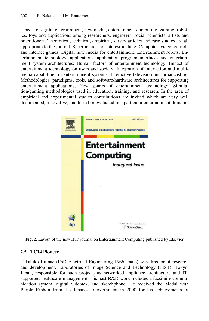aspects of digital entertainment, new media, entertainment computing, gaming, robotics, toys and applications among researchers, engineers, social scientists, artists and practitioners. Theoretical, technical, empirical, survey articles and case studies are all appropriate to the journal. Specific areas of interest include: Computer, video, console and internet games; Digital new media for entertainment; Entertainment robots; Entertainment technology, applications, application program interfaces and entertainment system architectures; Human factors of entertainment technology; Impact of entertainment technology on users and society; Integration of interaction and multimedia capabilities in entertainment systems; Interactive television and broadcasting; Methodologies, paradigms, tools, and software/hardware architectures for supporting entertainment applications; New genres of entertainment technology; Simulation/gaming methodologies used in education, training, and research. In the area of empirical and experimental studies contributions are invited which are very well documented, innovative, and tested or evaluated in a particular entertainment domain.



**Fig. 2.** Layout of the new IFIP journal on Entertainment Computing published by Elsevier

#### **2.5 TC14 Pioneer**

Takahiko Kamae (PhD Electrical Engineering 1966; male) was director of research and development, Laboratories of Image Science and Technology (LIST), Tokyo, Japan, responsible for such projects as networked appliance architecture and ITsupported healthcare management. His past R&D work includes a facsimile communication system, digital videotex, and sketchphone. He received the Medal with Purple Ribbon from the Japanese Government in 2000 for his achievements of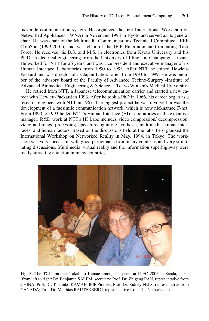facsimile communication system. He organized the first International Workshop on Networked Appliances (IWNA) in November 1998 in Kyoto and served as its general chair. He was chair of the Multimedia Communications Technical Committee, IEEE ComSoc (1999-2001), and was chair of the IFIP Entertainment Computing Task Force. He received his B.S. and M.S. in electronics from Kyoto University and his Ph.D. in electrical engineering from the University of Illinois at Champaign-Urbana. He worked for NTT for 26 years, and was vice president and executive manager of its Human Interface Laboratories from 1990 to 1993. After NTT he joined Hewlett-Packard and was director of its Japan Laboratories from 1993 to 1999. He was member of the advisory board of the Faculty of Advanced Techno-Surgery -Institute of Advanced Biomedical Engineering & Science at Tokyo Women's Medical University.

He retired from NTT, a Japanese telecommunication carrier and started a new career with Hewlett-Packard in 1993. After he took a PhD in 1966, his career began as a research engineer with NTT in 1967. The biggest project he was involved in was the development of a facsimile communication network, which is now nicknamed F-net. From 1990 to 1993 he led NTT's Human Interface (HI) Laboratories as the executive manager. R&D work at NTT's HI Labs includes video compression/ decompression, video and image processing, speech recognition/ synthesis, multimedia human interfaces, and human factors. Based on the discussions held at the labs, he organized the International Workshop on Networked Reality in May, 1994, in Tokyo. The workshop was very successful with good participants from many countries and very stimulating discussions. Multimedia, virtual reality and the information superhighway were really attracting attention in many countries.



**Fig. 3.** The TC14 pioneer Takahiko Kamae among his peers at ICEC 2005 in Sanda, Japan (from left to right: Dr. Benjamin SALEM, secretary; Prof. Dr. Zhigeng PAN, representative from CHINA; Prof. Dr. Takahiko KAMAE, IFIP Pioneer; Prof. Dr. Sidney FELS, representative from CANADA; Prof. Dr. Matthias RAUTERBERG, representative from The Netherlands)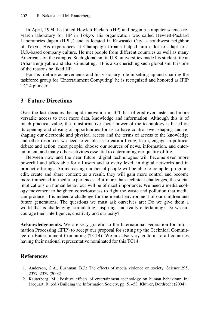In April, 1994, he joined Hewlett-Packard (HP) and began a computer science research laboratory for HP in Tokyo. His organization was called Hewlett-Packard Laboratories Japan (HPLJ) and is located in Kawasaki City, a southwest neighbor of Tokyo. His experiences at Champaign-Urbana helped him a lot to adapt to a U.S.-based company culture. He met people from different countries as well as many Americans on the campus. Such globalism in U.S. universities made his student life at Urbana enjoyable and also stimulating. HP is also cherishing such globalism. It is one of the reasons he liked HP.

For his lifetime achievements and his visionary role in setting up and chairing the taskforce group for 'Entertainment Computing' he is recognized and honored as IFIP TC14 pioneer.

#### **3 Future Directions**

Over the last decades the rapid innovation in ICT has offered ever faster and more versatile access to ever more data, knowledge and information. Although this is of much practical value, the transformative social power of the technology is based on its opening and closing of opportunities for us to have control over shaping and reshaping our electronic and physical access and the terms of access to the knowledge and other resources we need to enable us to earn a living, learn, engage in political debate and action, meet people, choose our sources of news, information, and entertainment, and many other activities essential to determining our quality of life.

Between now and the near future, digital technologies will become even more powerful and affordable for all users and at every level, in digital networks and in product offerings. An increasing number of people will be able to compile, program, edit, create and share content; as a result, they will gain more control and become more immersed in media experiences. But more than technical challenges, the social implications on human behaviour will be of most importance. We need a media ecology movement to heighten consciousness to fight the waste and pollution that media can produce. It is indeed a challenge for the mental environment of our children and future generations. The questions we must ask ourselves are: Do we give them a world that is challenging, stimulating, inspiring, and really entertaining? Do we encourage their intelligence, creativity and curiosity?

**Acknowledgements.** We are very grateful to the International Federation for Information Processing (IFIP) to accept our proposal for setting up the Technical Committee on Entertainment Computing (TC14). We are also very grateful to all countries having their national representative nominated for this TC14.

#### **References**

- 1. Anderson, C.A., Bushman, B.J.: The effects of media violence on society. Science 295, 2377–2379 (2002)
- 2. Rauterberg, M.: Positive effects of entertainment technology on human behaviour. In: Jacquart, R. (ed.) Building the Information Society, pp. 51–58. Kluwer, Dordrecht (2004)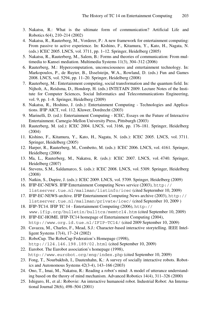- 3. Nakatsu, R.: What is the ultimate form of communication? Artificial Life and Robotics 6(4), 210–214 (2002)
- 4. Nakatsu, R., Rauterberg, M., Vorderer, P.: A new framework for entertainment computing: From passive to active experience. In: Kishino, F., Kitamura, Y., Kato, H., Nagata, N. (eds.) ICEC 2005. LNCS, vol. 3711, pp. 1–12. Springer, Heidelberg (2005)
- 5. Nakatsu, R., Rauterberg, M., Salem, B.: Forms and theories of communication: From multimedia to Kansei mediation. Multimedia Systems 11(3), 304–312 (2006)
- 6. Rauterberg, M.: Hypercomputation, unconsciousness and entertainment technology. In: Markopoulos, P., de Ruyter, B., IJsselsteijn, W.A., Rowland, D. (eds.) Fun and Games 2008. LNCS, vol. 5294, pp. 11–20. Springer, Heidelberg (2008)
- 7. Rauterberg, M.: Entertainment computing, social transformation and the quantum field. In: Nijholt, A., Reidsma, D., Hondorp, H. (eds.) INTETAIN 2009. Lecture Notes of the Institute for Computer Sciences, Social Informatics and Telecommunications Engineering, vol. 9, pp. 1–8. Springer, Heidelberg (2009)
- 8. Nakatsu, R., Hoshino, J. (eds.): Entertainment Computing Technologies and Applications. IFIP AICT, vol. 112. Kluwer, Dordrecht (2003)
- 9. Marinelli, D. (ed.): Entertainment Computing ICEC, Essays on the Future of Interactive Entertainment. Carnegie-Mellon University Press, Pittsburgh (2003)
- 10. Rauterberg, M. (ed.): ICEC 2004. LNCS, vol. 3166, pp. 176–181. Springer, Heidelberg (2004)
- 11. Kishino, F., Kitamura, Y., Kato, H., Nagata, N. (eds.): ICEC 2005. LNCS, vol. 3711. Springer, Heidelberg (2005)
- 12. Harper, R., Rauterberg, M., Combetto, M. (eds.): ICEC 2006. LNCS, vol. 4161. Springer, Heidelberg (2006)
- 13. Ma, L., Rauterberg, M., Nakatsu, R. (eds.): ICEC 2007. LNCS, vol. 4740. Springer, Heidelberg (2007)
- 14. Stevens, S.M., Saldamarco, S. (eds.): ICEC 2008. LNCS, vol. 5309. Springer, Heidelberg (2008)
- 15. Natkin, S., Dupire, J. (eds.): ICEC 2009. LNCS, vol. 5709. Springer, Heidelberg (2009)
- 16. IFIP-EC-NEWS. IFIP Entertainment Computing News service (2003), http:// listserver.tue.nl/mailman/listinfo/icec (cited Septermber 10, 2009)
- 17. IFIP-EC-NEWS-archive. IFIP Entertainment Computing News archive (2003), http:// listserver.tue.nl/mailman/private/icec/ (cited September 10, 2009 )
- 18. IFIP-TC14. IFIP TC 14 Entertainment Computing (2006), http:// www.ifip.org/bulletin/bulltcs/memtc14.htm (cited September 10, 2009)
- 19. IFIP-EC-HOME. IFIP-TC14 homepage of Entertainment Computing (2004), http://www.org.id.tue.nl/IFIP-TC14/ (cited 2009 September 10, 2009)
- 20. Cavazza, M., Charles, F., Mead, S.J.: Character-based interactive storytelling. IEEE Intelligent Systems 17(4), 17–24 (2002)
- 21. RoboCup. The RoboCup Federation's Homepage (1998), http://124.146.198.189/02.html (cited September 10, 2009)
- 22. Eurobot. The Eurobot association's homepage (1998), http://www.eurobot.org/eng/index.php (cited September 10, 2009)
- 23. Fong, T., Nourbakhsh, I., Dautenhahn, K.: A survey of socially interactive robots. Robotics and Autonomous Systems 42(3-4), 143–166 (2003)
- 24. Ono, T., Imai, M., Nakatsu, R.: Reading a robot's mind: A model of utterance understanding based on the theory of mind mechanism. Advanced Robotics 14(4), 311–326 (2000)
- 25. Ishiguro, H., et al.: Robovie: An interactive humanoid robot. Industrial Robot: An International Journal 28(6), 498–504 (2001)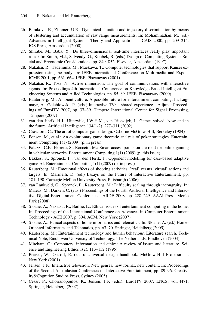- 26. Barakova, E., Zimmer, U.R.: Dynamical situation and trajectory discrimination by means of clustering and accumulation of raw range measurements. In: Mohammadian, M. (ed.) Advances in Intelligent Systems: Theory and Applications - ICAIS 2000, pp. 209–214. IOS Press, Amsterdam (2000)
- 27. Shirabe, M., Baba, Y.: Do three-dimensional real-time interfaces really play important roles? In: Smith, M.J., Salvendy, G., Koubek, R. (eds.) Design of Computing Systems: Social and Ergonomic Considerations, pp. 849–852. Elsevier, Amsterdam (1997)
- 28. Nakatsu, R., Tadenuma, M., Maekawa, T.: Computer technologies that support Kansei expression using the body. In: IEEE International Conference on Multimedia and Expo - ICME 2001, pp. 661–664. IEEE, Piscataway (2001)
- 29. Nakatsu, R., Tosa, N.: Active immersion: The goal of communications with interactive agents. In: Proceedings 4th International Conference on Knowledge-Based Intelligent Engineering Systems and Allied Technologies, pp. 85–89. IEEE, Piscataway (2000)
- 30. Rauterberg, M.: Ambient culture: A possible future for entertainment computing. In: Lugmayr, A., Golebiowski, P. (eds.) Interactive TV: a shared experience - Adjunct Proceedings of EuroITV 2007, pp. 37–39. Tampere International Center for Signal Processing, Tampere (2007)
- 31. van den Herik, H.J., Uiterwijk, J.W.H.M., van Rijswijck, J.: Games solved: Now and in the future. Artificial Intelligence 134(1-2), 277–311 (2002)
- 32. Crawford, C.: The art of computer game design. Osborne McGraw-Hill, Berkeley (1984)
- 33. Ponsen, M., et al.: An evolutionary game-theoretic analysis of poker strategies. Entertainment Computing 1(1) (2009) (p. in press)
- 34. Palazzi, C.E., Ferretti, S., Roccetti, M.: Smart access points on the road for online gaming in vehicular networks. Entertainment Computing 1(1) (2009) (p. this issue)
- 35. Bakkes, S., Spronck, P., van den Herik, J.: Opponent modelling for case-based adaptive game AI. Entertainment Computing 1(1) (2009) (p. in press)
- 36. Rauterberg, M.: Emotional effects of shooting activities: 'real' versus 'virtual' actions and targets. In: Marinelli, D. (ed.) Essays on the Future of Interactive Entertainment, pp. 181–190. Carnegie Mellon University Press, Pittsburgh (2006)
- 37. van Lankveld, G., Spronck, P., Rauterberg, M.: Difficulty scaling through incongruity. In: Mateas, M., Darken, C. (eds.) Proceedings of the Fourth Artificial Intelligence and Interactive Digital Entertainment Conference - AIIDE 2008, pp. 228–229. AAAI Press, Menlo Park (2008)
- 38. Sloane, A., Nakatsu, R., Baillie, L.: Ethical issues of entertainment computing in the home. In: Proceedings of the International Conference on Advances in Computer Entertainment Technology - ACE 2007, p. 304. ACM, New York (2007)
- 39. Sloane, A.: Ethical aspects of home informatics and telematics. In: Sloane, A. (ed.) Home-Oriented Informatics and Telematics, pp. 63–70. Springer, Heidelberg (2005)
- 40. Rauterberg, M.: Entertainment technology and human behaviour: Literature search. Technical Note, Eindhoven University of Technology, The Netherlands, Eindhoven (2004)
- 41. Mitcham, C.: Computers, information and ethics: A review of issues and literature. Science and Engineering Ethics 1(2), 113–132 (1995)
- 42. Preiser, W., Ostroff, E. (eds.): Universal design handbook. McGraw-Hill Professional, New York (2001)
- 43. Jensen, J.F.: Interactive television: New genres, new format, new content. In: Proceedings of the Second Australasian Conference on Interactive Entertainment, pp. 89–96. Creativity&Cognition Studios Press, Sydney (2005)
- 44. Cesar, P., Chorianopoulos, K., Jensen, J.F. (eds.): EuroITV 2007. LNCS, vol. 4471. Springer, Heidelberg (2007)